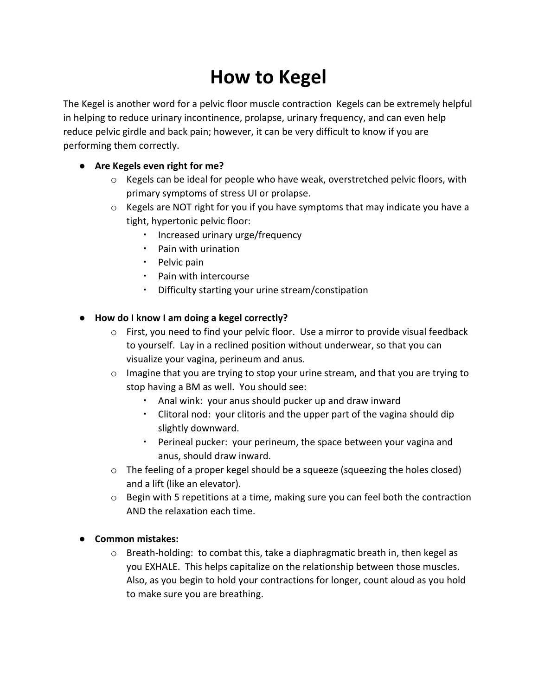## **How to Kegel**

The Kegel is another word for a pelvic floor muscle contraction Kegels can be extremely helpful in helping to reduce urinary incontinence, prolapse, urinary frequency, and can even help reduce pelvic girdle and back pain; however, it can be very difficult to know if you are performing them correctly.

## **● Are Kegels even right for me?**

- $\circ$  Kegels can be ideal for people who have weak, overstretched pelvic floors, with primary symptoms of stress UI or prolapse.
- o Kegels are NOT right for you if you have symptoms that may indicate you have a tight, hypertonic pelvic floor:
	- Increased urinary urge/frequency
	- Pain with urination
	- Pelvic pain
	- Pain with intercourse
	- Difficulty starting your urine stream/constipation

## **● How do I know I am doing a kegel correctly?**

- $\circ$  First, you need to find your pelvic floor. Use a mirror to provide visual feedback to yourself. Lay in a reclined position without underwear, so that you can visualize your vagina, perineum and anus.
- $\circ$  Imagine that you are trying to stop your urine stream, and that you are trying to stop having a BM as well. You should see:
	- Anal wink: your anus should pucker up and draw inward
	- Clitoral nod: your clitoris and the upper part of the vagina should dip slightly downward.
	- Perineal pucker: your perineum, the space between your vagina and anus, should draw inward.
- $\circ$  The feeling of a proper kegel should be a squeeze (squeezing the holes closed) and a lift (like an elevator).
- $\circ$  Begin with 5 repetitions at a time, making sure you can feel both the contraction AND the relaxation each time.

## **● Common mistakes:**

 $\circ$  Breath-holding: to combat this, take a diaphragmatic breath in, then kegel as you EXHALE. This helps capitalize on the relationship between those muscles. Also, as you begin to hold your contractions for longer, count aloud as you hold to make sure you are breathing.